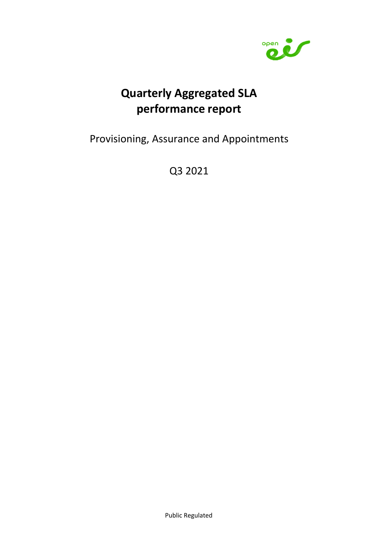

# **Quarterly Aggregated SLA performance report**

Provisioning, Assurance and Appointments

Q3 2021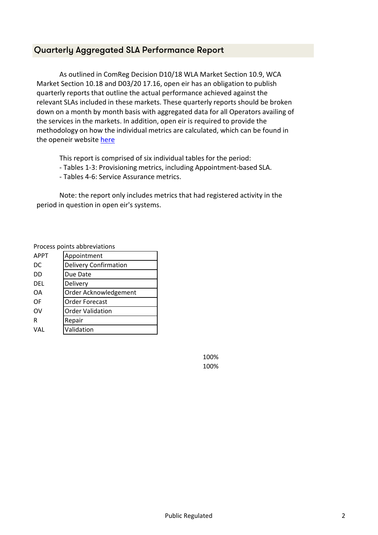#### Quarterly Aggregated SLA Performance Report

As outlined in ComReg Decision D10/18 WLA Market Section 10.9, WCA Market Section 10.18 and D03/20 17.16, open eir has an obligation to publish quarterly reports that outline the actual performance achieved against the relevant SLAs included in these markets. These quarterly reports should be broken down on a month by month basis with aggregated data for all Operators availing of the services in the markets. In addition, open eir is required to provide the methodology on how the individual metrics are calculated, which can be found in the openeir website here

This report is comprised of six individual tables for the period:

- Tables 1-3: Provisioning metrics, including Appointment-based SLA.
- Tables 4-6: Service Assurance metrics.

Note: the report only includes metrics that had registered activity in the period in question in open eir's systems.

Process points abbreviations

| <b>APPT</b> | Appointment                  |
|-------------|------------------------------|
| DC          | <b>Delivery Confirmation</b> |
| DD          | Due Date                     |
| DEL         | Delivery                     |
| ΩA          | Order Acknowledgement        |
| OF          | <b>Order Forecast</b>        |
| OV          | <b>Order Validation</b>      |
| R           | Repair                       |
| VAI         | Validation                   |

100% 100%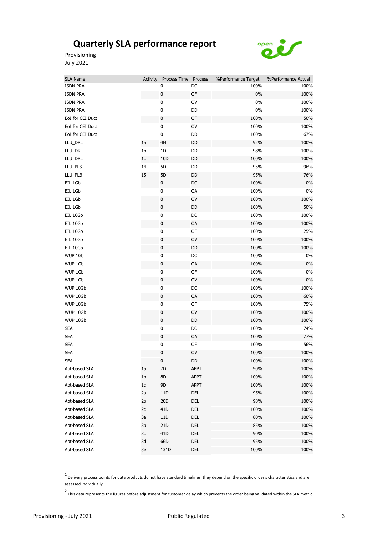

Provisioning July 2021

| SLA Name         | Activity       | Process Time Process |             | %Performance Target | %Performance Actual |
|------------------|----------------|----------------------|-------------|---------------------|---------------------|
| <b>ISDN PRA</b>  |                | 0                    | DC          | 100%                | 100%                |
| <b>ISDN PRA</b>  |                | $\pmb{0}$            | OF          | $0\%$               | 100%                |
| <b>ISDN PRA</b>  |                | $\pmb{0}$            | $_{\rm OV}$ | $0\%$               | 100%                |
| <b>ISDN PRA</b>  |                | 0                    | DD          | $0\%$               | 100%                |
| EoI for CEI Duct |                | $\pmb{0}$            | OF          | 100%                | 50%                 |
| EoI for CEI Duct |                | $\pmb{0}$            | OV          | 100%                | 100%                |
| EoI for CEI Duct |                | $\pmb{0}$            | DD          | 100%                | 67%                 |
| LLU_DRL          | 1a             | 4H                   | DD          | 92%                 | 100%                |
| LLU_DRL          | 1b             | 1D                   | DD          | 98%                 | 100%                |
| LLU_DRL          | $1c$           | 10D                  | DD          | 100%                | 100%                |
| LLU_PLS          | 14             | 5D                   | DD          | 95%                 | 96%                 |
| LLU_PLB          | 15             | 5D                   | DD          | 95%                 | 76%                 |
| EIL 1Gb          |                | $\pmb{0}$            | DC          | 100%                | 0%                  |
| EIL 1Gb          |                | $\pmb{0}$            | OA          | 100%                | 0%                  |
| EIL 1Gb          |                | $\pmb{0}$            | OV          | 100%                | 100%                |
| EIL 1Gb          |                | $\pmb{0}$            | DD          | 100%                | 50%                 |
| EIL 10Gb         |                | $\pmb{0}$            | DC          | 100%                | 100%                |
| EIL 10Gb         |                | $\pmb{0}$            | OA          | 100%                | 100%                |
| EIL 10Gb         |                | $\pmb{0}$            | OF          | 100%                | 25%                 |
| EIL 10Gb         |                | $\pmb{0}$            | OV          | 100%                | 100%                |
| EIL 10Gb         |                | $\pmb{0}$            | DD          | 100%                | 100%                |
| WUP 1Gb          |                | $\pmb{0}$            | DC          | 100%                | 0%                  |
| WUP 1Gb          |                | $\pmb{0}$            | OA          | 100%                | $0\%$               |
| WUP 1Gb          |                | $\pmb{0}$            | OF          | 100%                | $0\%$               |
| WUP 1Gb          |                | $\pmb{0}$            | OV          | 100%                | $0\%$               |
| WUP 10Gb         |                | $\pmb{0}$            | DC          | 100%                | 100%                |
| WUP 10Gb         |                | $\pmb{0}$            | OA          | 100%                | 60%                 |
| WUP 10Gb         |                | $\pmb{0}$            | OF          | 100%                | 75%                 |
| WUP 10Gb         |                | $\pmb{0}$            | OV          | 100%                | 100%                |
| WUP 10Gb         |                | $\pmb{0}$            | DD          | 100%                | 100%                |
| <b>SEA</b>       |                | $\pmb{0}$            | DC          | 100%                | 74%                 |
| <b>SEA</b>       |                | $\pmb{0}$            | OA          | 100%                | 77%                 |
| <b>SEA</b>       |                | $\pmb{0}$            | OF          | 100%                | 56%                 |
| <b>SEA</b>       |                | 0                    | OV          | 100%                | 100%                |
| <b>SFA</b>       |                | 0                    | DD          | 100%                | 100%                |
| Apt-based SLA    | 1a             | 7D                   | <b>APPT</b> | 90%                 | 100%                |
| Apt-based SLA    | 1 <sub>b</sub> | $8\mathsf{D}$        | <b>APPT</b> | 100%                | 100%                |
| Apt-based SLA    | $1c$           | 9D                   | <b>APPT</b> | 100%                | 100%                |
| Apt-based SLA    | 2a             | 11D                  | DEL         | 95%                 | 100%                |
| Apt-based SLA    | 2 <sub>b</sub> | 20D                  | DEL         | 98%                 | 100%                |
| Apt-based SLA    | 2c             | 41D                  | DEL         | 100%                | 100%                |
| Apt-based SLA    | 3a             | $11D$                | DEL         | 80%                 | 100%                |
| Apt-based SLA    | 3 <sub>b</sub> | 21D                  | DEL         | 85%                 | 100%                |
| Apt-based SLA    | 3c             | 41D                  | DEL         | 90%                 | 100%                |
| Apt-based SLA    | 3d             | 66D                  | DEL         | 95%                 | 100%                |
| Apt-based SLA    | 3e             | 131D                 | DEL         | 100%                | 100%                |

 $1$  Delivery process points for data products do not have standard timelines, they depend on the specific order's characteristics and are assessed individually.

 $2$ This data represents the figures before adjustment for customer delay which prevents the order being validated within the SLA metric.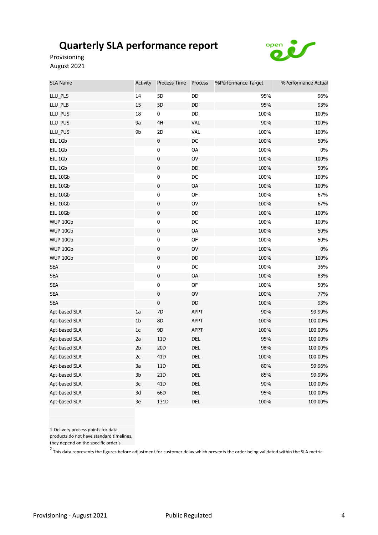

Provisioning August 2021

| <b>SLA Name</b> | Activity       | Process Time    | Process       | %Performance Target | %Performance Actual |
|-----------------|----------------|-----------------|---------------|---------------------|---------------------|
| LLU_PLS         | 14             | 5D              | DD            | 95%                 | 96%                 |
| LLU_PLB         | 15             | 5D              | DD            | 95%                 | 93%                 |
| LLU_PUS         | 18             | 0               | $\mathsf{DD}$ | 100%                | 100%                |
| LLU_PUS         | 9a             | 4H              | <b>VAL</b>    | 90%                 | 100%                |
| LLU_PUS         | 9b             | 2D              | <b>VAL</b>    | 100%                | 100%                |
| EIL 1Gb         |                | $\pmb{0}$       | $DC$          | 100%                | 50%                 |
| EIL 1Gb         |                | 0               | OA            | 100%                | $0\%$               |
| EIL 1Gb         |                | $\pmb{0}$       | OV            | 100%                | 100%                |
| EIL 1Gb         |                | $\pmb{0}$       | $\mathsf{DD}$ | 100%                | 50%                 |
| EIL 10Gb        |                | 0               | DC            | 100%                | 100%                |
| EIL 10Gb        |                | $\pmb{0}$       | OA            | 100%                | 100%                |
| EIL 10Gb        |                | $\pmb{0}$       | OF            | 100%                | 67%                 |
| EIL 10Gb        |                | $\pmb{0}$       | OV            | 100%                | 67%                 |
| EIL 10Gb        |                | $\pmb{0}$       | $\mathsf{DD}$ | 100%                | 100%                |
| WUP 10Gb        |                | $\pmb{0}$       | $\mathsf{DC}$ | 100%                | 100%                |
| WUP 10Gb        |                | $\pmb{0}$       | <b>OA</b>     | 100%                | 50%                 |
| WUP 10Gb        |                | $\pmb{0}$       | OF            | 100%                | 50%                 |
| WUP 10Gb        |                | $\pmb{0}$       | OV            | 100%                | $0\%$               |
| WUP 10Gb        |                | $\pmb{0}$       | DD            | 100%                | 100%                |
| <b>SEA</b>      |                | $\mathbf 0$     | $DC$          | 100%                | 36%                 |
| <b>SEA</b>      |                | $\pmb{0}$       | OA            | 100%                | 83%                 |
| <b>SEA</b>      |                | 0               | OF            | 100%                | 50%                 |
| <b>SEA</b>      |                | $\pmb{0}$       | $\mathsf{OV}$ | 100%                | 77%                 |
| <b>SEA</b>      |                | 0               | $\mathsf{DD}$ | 100%                | 93%                 |
| Apt-based SLA   | 1a             | 7D              | <b>APPT</b>   | 90%                 | 99.99%              |
| Apt-based SLA   | 1 <sub>b</sub> | 8D              | <b>APPT</b>   | 100%                | 100.00%             |
| Apt-based SLA   | $1\mathrm{c}$  | 9D              | <b>APPT</b>   | 100%                | 100.00%             |
| Apt-based SLA   | 2a             | 11D             | DEL           | 95%                 | 100.00%             |
| Apt-based SLA   | 2 <sub>b</sub> | 20D             | DEL           | 98%                 | 100.00%             |
| Apt-based SLA   | $2\mathsf{c}$  | 41 <sub>D</sub> | DEL           | 100%                | 100.00%             |
| Apt-based SLA   | 3a             | 11D             | <b>DEL</b>    | 80%                 | 99.96%              |
| Apt-based SLA   | 3b             | 21 <sub>D</sub> | <b>DEL</b>    | 85%                 | 99.99%              |
| Apt-based SLA   | 3c             | 41D             | DEL           | 90%                 | 100.00%             |
| Apt-based SLA   | 3d             | 66D             | <b>DEL</b>    | 95%                 | 100.00%             |
| Apt-based SLA   | 3e             | 131D            | <b>DEL</b>    | 100%                | 100.00%             |

1 Delivery process points for data

products do not have standard timelines,

they depend on the specific order's

2 This data represents the figures before adjustment for customer delay which prevents the order being validated within the SLA metric.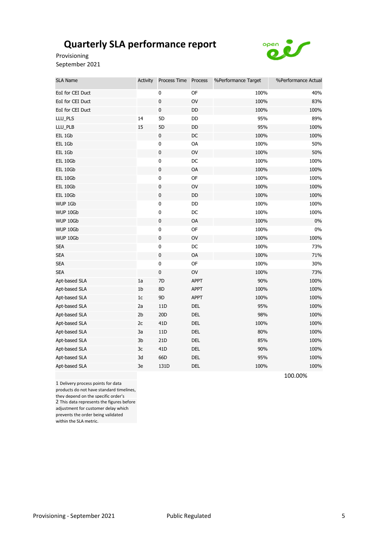

Provisioning September 2021

| <b>SLA Name</b>  | <b>Activity</b> | Process Time Process |               | %Performance Target | %Performance Actual |
|------------------|-----------------|----------------------|---------------|---------------------|---------------------|
| EoI for CEI Duct |                 | 0                    | OF            | 100%                | 40%                 |
| EoI for CEI Duct |                 | $\pmb{0}$            | $\mathsf{OV}$ | 100%                | 83%                 |
| EoI for CEI Duct |                 | $\pmb{0}$            | $\mathsf{DD}$ | 100%                | 100%                |
| LLU_PLS          | 14              | 5 <sub>D</sub>       | DD            | 95%                 | 89%                 |
| LLU_PLB          | 15              | 5D                   | DD            | 95%                 | 100%                |
| EIL 1Gb          |                 | $\pmb{0}$            | DC            | 100%                | 100%                |
| EIL 1Gb          |                 | 0                    | OA            | 100%                | 50%                 |
| EIL 1Gb          |                 | $\pmb{0}$            | OV            | 100%                | 50%                 |
| EIL 10Gb         |                 | $\pmb{0}$            | DC            | 100%                | 100%                |
| EIL 10Gb         |                 | $\pmb{0}$            | OA            | 100%                | 100%                |
| EIL 10Gb         |                 | 0                    | <b>OF</b>     | 100%                | 100%                |
| EIL 10Gb         |                 | $\pmb{0}$            | OV            | 100%                | 100%                |
| EIL 10Gb         |                 | 0                    | DD            | 100%                | 100%                |
| WUP 1Gb          |                 | $\pmb{0}$            | DD            | 100%                | 100%                |
| WUP 10Gb         |                 | $\pmb{0}$            | DC            | 100%                | 100%                |
| WUP 10Gb         |                 | $\pmb{0}$            | OA            | 100%                | 0%                  |
| WUP 10Gb         |                 | $\pmb{0}$            | OF            | 100%                | 0%                  |
| WUP 10Gb         |                 | $\pmb{0}$            | OV            | 100%                | 100%                |
| <b>SEA</b>       |                 | $\pmb{0}$            | $\mathsf{DC}$ | 100%                | 73%                 |
| <b>SEA</b>       |                 | $\pmb{0}$            | OA            | 100%                | 71%                 |
| <b>SEA</b>       |                 | $\pmb{0}$            | OF            | 100%                | 30%                 |
| <b>SEA</b>       |                 | $\pmb{0}$            | OV            | 100%                | 73%                 |
| Apt-based SLA    | 1a              | 7D                   | <b>APPT</b>   | 90%                 | 100%                |
| Apt-based SLA    | 1 <sub>b</sub>  | 8D                   | <b>APPT</b>   | 100%                | 100%                |
| Apt-based SLA    | $1\mathrm{c}$   | 9D                   | <b>APPT</b>   | 100%                | 100%                |
| Apt-based SLA    | 2a              | 11D                  | DEL           | 95%                 | 100%                |
| Apt-based SLA    | 2 <sub>b</sub>  | 20D                  | DEL           | 98%                 | 100%                |
| Apt-based SLA    | 2c              | 41 <sub>D</sub>      | DEL           | 100%                | 100%                |
| Apt-based SLA    | 3a              | 11D                  | DEL           | 80%                 | 100%                |
| Apt-based SLA    | 3b              | 21D                  | DEL           | 85%                 | 100%                |
| Apt-based SLA    | 3c              | 41 <sub>D</sub>      | DEL           | 90%                 | 100%                |
| Apt-based SLA    | 3d              | 66D                  | <b>DEL</b>    | 95%                 | 100%                |
| Apt-based SLA    | 3e              | 131D                 | <b>DEL</b>    | 100%                | 100%                |

1 Delivery process points for data products do not have standard timelines, they depend on the specific order's 2 This data represents the figures before adjustment for customer delay which prevents the order being validated within the SLA metric.

100.00%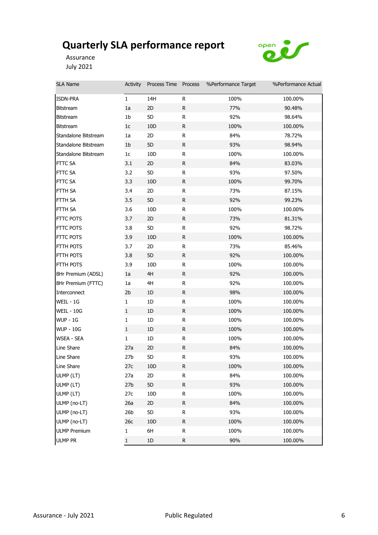

Assurance July 2021

| SLA Name             | Activity        | Process Time Process |              | %Performance Target | %Performance Actual |
|----------------------|-----------------|----------------------|--------------|---------------------|---------------------|
| ISDN-PRA             | $\mathbf{1}$    | 14H                  | R            | 100%                | 100.00%             |
| <b>Bitstream</b>     | 1a              | 2D                   | R.           | 77%                 | 90.48%              |
| <b>Bitstream</b>     | 1b              | 5D                   | R            | 92%                 | 98.64%              |
| <b>Bitstream</b>     | 1 <sub>c</sub>  | 10 <sub>D</sub>      | R            | 100%                | 100.00%             |
| Standalone Bitstream | 1a              | 2D                   | ${\sf R}$    | 84%                 | 78.72%              |
| Standalone Bitstream | 1 <sub>b</sub>  | 5D                   | R            | 93%                 | 98.94%              |
| Standalone Bitstream | 1c              | 10 <sub>D</sub>      | R            | 100%                | 100.00%             |
| FTTC SA              | 3.1             | 2D                   | R.           | 84%                 | 83.03%              |
| FTTC SA              | 3.2             | 5D                   | ${\sf R}$    | 93%                 | 97.50%              |
| FTTC SA              | 3.3             | 10 <sub>D</sub>      | R            | 100%                | 99.70%              |
| FTTH SA              | 3.4             | 2D                   | R            | 73%                 | 87.15%              |
| FTTH SA              | 3.5             | 5D                   | R            | 92%                 | 99.23%              |
| FTTH SA              | 3.6             | 10D                  | R            | 100%                | 100.00%             |
| FTTC POTS            | 3.7             | 2D                   | $\mathsf{R}$ | 73%                 | 81.31%              |
| FTTC POTS            | 3.8             | 5D                   | R            | 92%                 | 98.72%              |
| FTTC POTS            | 3.9             | 10 <sub>D</sub>      | R            | 100%                | 100.00%             |
| FTTH POTS            | 3.7             | 2D                   | R            | 73%                 | 85.46%              |
| FTTH POTS            | 3.8             | 5D                   | R            | 92%                 | 100.00%             |
| FTTH POTS            | 3.9             | 10 <sub>D</sub>      | R            | 100%                | 100.00%             |
| 8Hr Premium (ADSL)   | 1a              | 4H                   | R            | 92%                 | 100.00%             |
| 8Hr Premium (FTTC)   | 1a              | 4H                   | R            | 92%                 | 100.00%             |
| Interconnect         | 2 <sub>b</sub>  | 1D                   | $\mathsf R$  | 98%                 | 100.00%             |
| WEIL - 1G            | $\mathbf{1}$    | 1D                   | R            | 100%                | 100.00%             |
| WEIL - 10G           | $\mathbf{1}$    | 1D                   | R            | 100%                | 100.00%             |
| <b>WUP - 1G</b>      | $\mathbf{1}$    | 1D                   | R            | 100%                | 100.00%             |
| <b>WUP - 10G</b>     | $\mathbf{1}$    | 1D                   | R            | 100%                | 100.00%             |
| WSEA - SEA           | 1               | 1D                   | R            | 100%                | 100.00%             |
| Line Share           | 27a             | 2D                   | R            | 84%                 | 100.00%             |
| Line Share           | 27 <sub>b</sub> | 5D                   | R            | 93%                 | 100.00%             |
| Line Share           | 27c             | 10D                  | R            | 100%                | 100.00%             |
| ULMP (LT)            | 27a             | 2D                   | R            | 84%                 | 100.00%             |
| ULMP (LT)            | 27 <sub>b</sub> | 5D                   | ${\sf R}$    | 93%                 | 100.00%             |
| ULMP (LT)            | 27c             | 10 <sub>D</sub>      | R            | 100%                | 100.00%             |
| ULMP (no-LT)         | 26a             | 2D                   | $\mathsf R$  | 84%                 | 100.00%             |
| ULMP (no-LT)         | 26 <sub>b</sub> | 5D                   | ${\sf R}$    | 93%                 | 100.00%             |
| ULMP (no-LT)         | 26c             | 10 <sub>D</sub>      | $\mathsf R$  | 100%                | 100.00%             |
| <b>ULMP Premium</b>  | $\mathbf{1}$    | 6H                   | R            | 100%                | 100.00%             |
| <b>ULMP PR</b>       | $\mathbf{1}$    | $1\mathsf{D}$        | ${\sf R}$    | 90%                 | 100.00%             |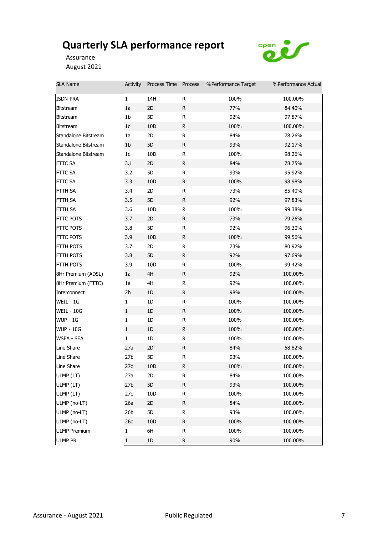

Assurance August 2021

| <b>SLA Name</b>      | Activity        | Process Time Process |              | %Performance Target | %Performance Actual |
|----------------------|-----------------|----------------------|--------------|---------------------|---------------------|
| ISDN-PRA             | $\mathbf{1}$    | 14H                  | R            | 100%                | 100.00%             |
| <b>Bitstream</b>     | 1a              | 2D                   | $\mathsf{R}$ | 77%                 | 84.40%              |
| <b>Bitstream</b>     | 1 <sub>b</sub>  | 5D                   | R            | 92%                 | 97.87%              |
| <b>Bitstream</b>     | 1c              | 10 <sub>D</sub>      | R            | 100%                | 100.00%             |
| Standalone Bitstream | 1a              | 2D                   | R            | 84%                 | 78.26%              |
| Standalone Bitstream | 1 <sub>b</sub>  | 5D                   | R            | 93%                 | 92.17%              |
| Standalone Bitstream | 1 <sub>c</sub>  | 10D                  | R            | 100%                | 98.26%              |
| <b>FTTC SA</b>       | 3.1             | 2D                   | R            | 84%                 | 78.75%              |
| FTTC SA              | 3.2             | 5D                   | R            | 93%                 | 95.92%              |
| FTTC SA              | 3.3             | 10 <sub>D</sub>      | R            | 100%                | 98.98%              |
| FTTH SA              | 3.4             | 2D                   | R            | 73%                 | 85.40%              |
| FTTH SA              | 3.5             | 5D                   | R.           | 92%                 | 97.83%              |
| FTTH SA              | 3.6             | 10D                  | R            | 100%                | 99.38%              |
| FTTC POTS            | 3.7             | 2D                   | R.           | 73%                 | 79.26%              |
| FTTC POTS            | 3.8             | 5D                   | R            | 92%                 | 96.30%              |
| FTTC POTS            | 3.9             | 10 <sub>D</sub>      | ${\sf R}$    | 100%                | 99.56%              |
| FTTH POTS            | 3.7             | 2D                   | R            | 73%                 | 80.92%              |
| FTTH POTS            | 3.8             | 5D                   | R.           | 92%                 | 97.69%              |
| FTTH POTS            | 3.9             | 10D                  | R            | 100%                | 99.42%              |
| 8Hr Premium (ADSL)   | 1a              | 4H                   | R            | 92%                 | 100.00%             |
| 8Hr Premium (FTTC)   | 1a              | 4H                   | R            | 92%                 | 100.00%             |
| Interconnect         | 2 <sub>b</sub>  | 1D                   | R.           | 98%                 | 100.00%             |
| WEIL - 1G            | $\mathbf{1}$    | $1\mathsf{D}$        | R            | 100%                | 100.00%             |
| <b>WEIL - 10G</b>    | $\mathbf{1}$    | 1D                   | R.           | 100%                | 100.00%             |
| <b>WUP - 1G</b>      | $\mathbf{1}$    | 1D                   | R            | 100%                | 100.00%             |
| <b>WUP - 10G</b>     | $\mathbf{1}$    | 1D                   | R            | 100%                | 100.00%             |
| <b>WSEA - SEA</b>    | $\mathbf{1}$    | 1D                   | R            | 100%                | 100.00%             |
| Line Share           | 27a             | 2D                   | R            | 84%                 | 58.82%              |
| Line Share           | 27 <sub>b</sub> | 5D                   | R            | 93%                 | 100.00%             |
| Line Share           | 27c             | 10D                  | $\mathsf R$  | 100%                | 100.00%             |
| ULMP (LT)            | 27a             | 2D                   | R            | 84%                 | 100.00%             |
| ULMP (LT)            | 27 <sub>b</sub> | 5D                   | ${\sf R}$    | 93%                 | 100.00%             |
| ULMP (LT)            | 27c             | 10 <sub>D</sub>      | R            | 100%                | 100.00%             |
| ULMP (no-LT)         | 26a             | 2D                   | R            | 84%                 | 100.00%             |
| ULMP (no-LT)         | 26 <sub>b</sub> | 5D                   | R            | 93%                 | 100.00%             |
| ULMP (no-LT)         | 26c             | 10D                  | R            | 100%                | 100.00%             |
| <b>ULMP Premium</b>  | 1               | 6H                   | R            | 100%                | 100.00%             |
| <b>ULMP PR</b>       | $\mathbf{1}$    | $1\text{D}$          | R            | 90%                 | 100.00%             |